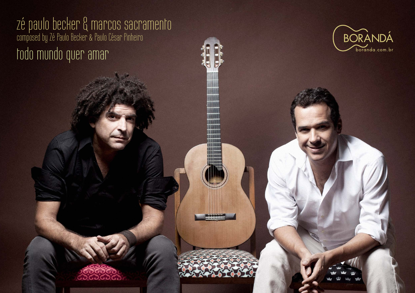zé paulo becker & marcos sacramento composed by Zé Paulo Becker & Paulo César Pinheiro todo mundo quer amar

<u> 898888</u>



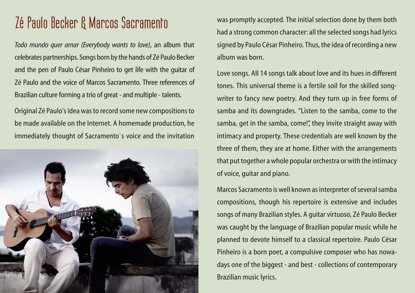#### **Zé Paulo Becker & Marcos Sacramento**

*Todo mundo quer amar (Everybody wants to love)*, an album that celebrates partnerships. Songs born by the hands of Zé Paulo Becker and the pen of Paulo César Pinheiro to get life with the guitar of Zé Paulo and the voice of Marcos Sacramento. Three references of Brazilian culture forming a trio of great - and multiple - talents.

Original Zé Paulo's idea was to record some new compositions to be made available on the Internet. A homemade production, he immediately thought of Sacramento`s voice and the invitation



was promptly accepted. The initial selection done by them both had a strong common character: all the selected songs had lyrics signed by Paulo César Pinheiro. Thus, the idea of recording a new album was born.

Love songs. All 14 songs talk about love and its hues in different tones. This universal theme is a fertile soil for the skilled songwriter to fancy new poetry. And they turn up in free forms of samba and its downgrades. "Listen to the samba, come to the samba, get in the samba, come!", they invite straight away with intimacy and property. These credentials are well known by the three of them, they are at home. Either with the arrangements that put together a whole popular orchestra or with the intimacy of voice, guitar and piano.

Marcos Sacramento is well known as interpreter of several samba compositions, though his repertoire is extensive and includes songs of many Brazilian styles. A guitar virtuoso, Zé Paulo Becker was caught by the language of Brazilian popular music while he planned to devote himself to a classical repertoire. Paulo César Pinheiro is a born poet, a compulsive composer who has nowadays one of the biggest - and best - collections of contemporary Brazilian music lyrics.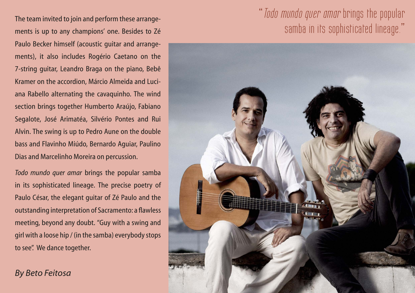The team invited to join and perform these arrangements is up to any champions' one. Besides to Zé Paulo Becker himself (acoustic guitar and arrangements), it also includes Rogério Caetano on the 7-string guitar, Leandro Braga on the piano, Bebê Kramer on the accordion, Márcio Almeida and Luciana Rabello alternating the cavaquinho. The wind section brings together Humberto Araújo, Fabiano Segalote, José Arimatéa, Silvério Pontes and Rui Alvin. The swing is up to Pedro Aune on the double bass and Flavinho Miúdo, Bernardo Aguiar, Paulino Dias and Marcelinho Moreira on percussion.

*Todo mundo quer amar* brings the popular samba in its sophisticated lineage. The precise poetry of Paulo César, the elegant guitar of Zé Paulo and the outstanding interpretation of Sacramento: a flawless meeting, beyond any doubt. "Guy with a swing and girl with a loose hip / (in the samba) everybody stops to see". We dance together.

*By Beto Feitosa*

#### "*Todo mundo quer amar* brings the popular samba in its sophisticated lineage."